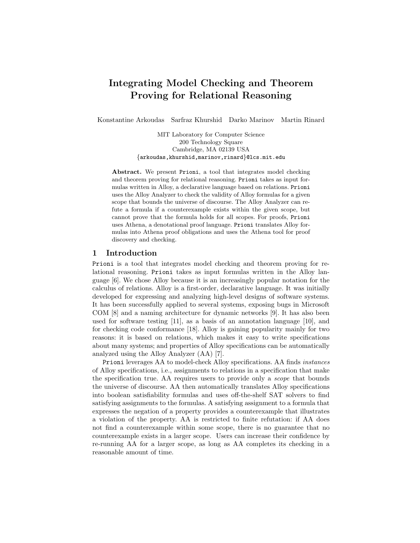# Integrating Model Checking and Theorem Proving for Relational Reasoning

Konstantine Arkoudas Sarfraz Khurshid Darko Marinov Martin Rinard

MIT Laboratory for Computer Science 200 Technology Square Cambridge, MA 02139 USA {arkoudas,khurshid,marinov,rinard}@lcs.mit.edu

Abstract. We present Prioni, a tool that integrates model checking and theorem proving for relational reasoning. Prioni takes as input formulas written in Alloy, a declarative language based on relations. Prioni uses the Alloy Analyzer to check the validity of Alloy formulas for a given scope that bounds the universe of discourse. The Alloy Analyzer can refute a formula if a counterexample exists within the given scope, but cannot prove that the formula holds for all scopes. For proofs, Prioni uses Athena, a denotational proof language. Prioni translates Alloy formulas into Athena proof obligations and uses the Athena tool for proof discovery and checking.

### 1 Introduction

Prioni is a tool that integrates model checking and theorem proving for relational reasoning. Prioni takes as input formulas written in the Alloy language [6]. We chose Alloy because it is an increasingly popular notation for the calculus of relations. Alloy is a first-order, declarative language. It was initially developed for expressing and analyzing high-level designs of software systems. It has been successfully applied to several systems, exposing bugs in Microsoft COM [8] and a naming architecture for dynamic networks [9]. It has also been used for software testing  $[11]$ , as a basis of an annotation language  $[10]$ , and for checking code conformance [18]. Alloy is gaining popularity mainly for two reasons: it is based on relations, which makes it easy to write specifications about many systems; and properties of Alloy specifications can be automatically analyzed using the Alloy Analyzer (AA) [7].

Prioni leverages AA to model-check Alloy specifications. AA finds instances of Alloy specifications, i.e., assignments to relations in a specification that make the specification true. AA requires users to provide only a scope that bounds the universe of discourse. AA then automatically translates Alloy specifications into boolean satisfiability formulas and uses off-the-shelf SAT solvers to find satisfying assignments to the formulas. A satisfying assignment to a formula that expresses the negation of a property provides a counterexample that illustrates a violation of the property. AA is restricted to finite refutation: if AA does not find a counterexample within some scope, there is no guarantee that no counterexample exists in a larger scope. Users can increase their confidence by re-running AA for a larger scope, as long as AA completes its checking in a reasonable amount of time.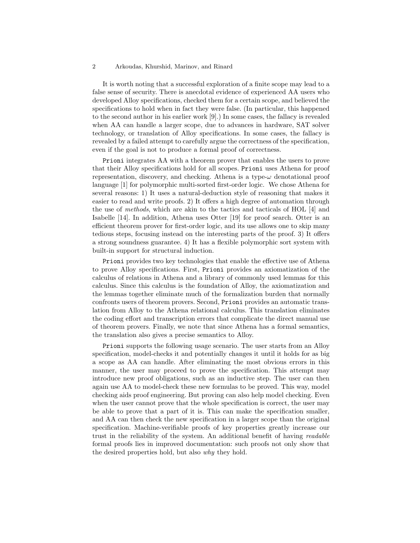It is worth noting that a successful exploration of a finite scope may lead to a false sense of security. There is anecdotal evidence of experienced AA users who developed Alloy specifications, checked them for a certain scope, and believed the specifications to hold when in fact they were false. (In particular, this happened to the second author in his earlier work [9].) In some cases, the fallacy is revealed when AA can handle a larger scope, due to advances in hardware, SAT solver technology, or translation of Alloy specifications. In some cases, the fallacy is revealed by a failed attempt to carefully argue the correctness of the specification, even if the goal is not to produce a formal proof of correctness.

Prioni integrates AA with a theorem prover that enables the users to prove that their Alloy specifications hold for all scopes. Prioni uses Athena for proof representation, discovery, and checking. Athena is a type- $\omega$  denotational proof language [1] for polymorphic multi-sorted first-order logic. We chose Athena for several reasons: 1) It uses a natural-deduction style of reasoning that makes it easier to read and write proofs. 2) It offers a high degree of automation through the use of methods, which are akin to the tactics and tacticals of HOL [4] and Isabelle [14]. In addition, Athena uses Otter [19] for proof search. Otter is an efficient theorem prover for first-order logic, and its use allows one to skip many tedious steps, focusing instead on the interesting parts of the proof. 3) It offers a strong soundness guarantee. 4) It has a flexible polymorphic sort system with built-in support for structural induction.

Prioni provides two key technologies that enable the effective use of Athena to prove Alloy specifications. First, Prioni provides an axiomatization of the calculus of relations in Athena and a library of commonly used lemmas for this calculus. Since this calculus is the foundation of Alloy, the axiomatization and the lemmas together eliminate much of the formalization burden that normally confronts users of theorem provers. Second, Prioni provides an automatic translation from Alloy to the Athena relational calculus. This translation eliminates the coding effort and transcription errors that complicate the direct manual use of theorem provers. Finally, we note that since Athena has a formal semantics, the translation also gives a precise semantics to Alloy.

Prioni supports the following usage scenario. The user starts from an Alloy specification, model-checks it and potentially changes it until it holds for as big a scope as AA can handle. After eliminating the most obvious errors in this manner, the user may proceed to prove the specification. This attempt may introduce new proof obligations, such as an inductive step. The user can then again use AA to model-check these new formulas to be proved. This way, model checking aids proof engineering. But proving can also help model checking. Even when the user cannot prove that the whole specification is correct, the user may be able to prove that a part of it is. This can make the specification smaller, and AA can then check the new specification in a larger scope than the original specification. Machine-verifiable proofs of key properties greatly increase our trust in the reliability of the system. An additional benefit of having readable formal proofs lies in improved documentation: such proofs not only show that the desired properties hold, but also why they hold.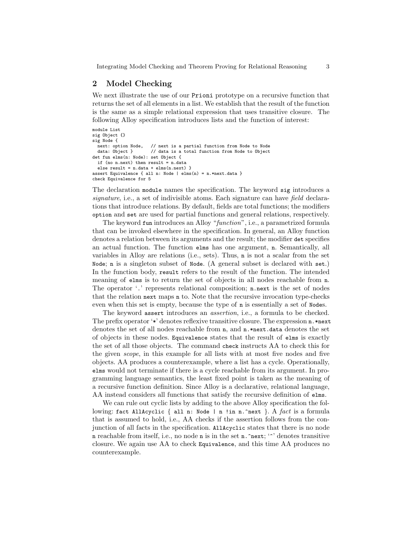Integrating Model Checking and Theorem Proving for Relational Reasoning 3

### 2 Model Checking

We next illustrate the use of our Prioni prototype on a recursive function that returns the set of all elements in a list. We establish that the result of the function is the same as a simple relational expression that uses transitive closure. The following Alloy specification introduces lists and the function of interest:

```
module List
sig Object {}
sig Node {
                     // next is a partial function from Node to Node
 data: Object } // data is a total function from Node to Object
det fun elms(n: Node): set Object {
  if (no n.next) then result = n.data
  else result = n.data + elms(n.next) }
assert Equivalence { all n: Node | elms(n) = n.*next.data }
check Equivalence for 5
```
The declaration module names the specification. The keyword sig introduces a signature, i.e., a set of indivisible atoms. Each signature can have field declarations that introduce relations. By default, fields are total functions; the modifiers option and set are used for partial functions and general relations, respectively.

The keyword fun introduces an Alloy "function", i.e., a parametrized formula that can be invoked elsewhere in the specification. In general, an Alloy function denotes a relation between its arguments and the result; the modifier det specifies an actual function. The function elms has one argument, n. Semantically, all variables in Alloy are relations (i.e., sets). Thus, n is not a scalar from the set Node; n is a singleton subset of Node. (A general subset is declared with set.) In the function body, result refers to the result of the function. The intended meaning of elms is to return the set of objects in all nodes reachable from n. The operator '.' represents relational composition; n.next is the set of nodes that the relation next maps n to. Note that the recursive invocation type-checks even when this set is empty, because the type of n is essentially a set of Nodes.

The keyword assert introduces an assertion, i.e., a formula to be checked. The prefix operator '\*' denotes reflexive transitive closure. The expression n.\*next denotes the set of all nodes reachable from n, and n.\*next.data denotes the set of objects in these nodes. Equivalence states that the result of elms is exactly the set of all those objects. The command check instructs AA to check this for the given scope, in this example for all lists with at most five nodes and five objects. AA produces a counterexample, where a list has a cycle. Operationally, elms would not terminate if there is a cycle reachable from its argument. In programming language semantics, the least fixed point is taken as the meaning of a recursive function definition. Since Alloy is a declarative, relational language, AA instead considers all functions that satisfy the recursive definition of elms.

We can rule out cyclic lists by adding to the above Alloy specification the following: fact AllAcyclic { all n: Node | n !in n.^next }. A fact is a formula that is assumed to hold, i.e., AA checks if the assertion follows from the conjunction of all facts in the specification. AllAcyclic states that there is no node n reachable from itself, i.e., no node n is in the set n. next; '<sup>o'</sup> denotes transitive closure. We again use AA to check Equivalence, and this time AA produces no counterexample.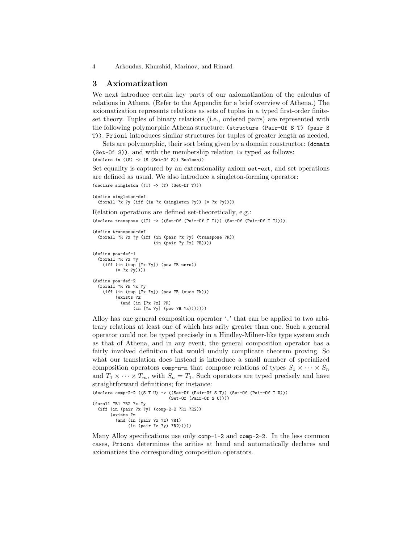### 3 Axiomatization

We next introduce certain key parts of our axiomatization of the calculus of relations in Athena. (Refer to the Appendix for a brief overview of Athena.) The axiomatization represents relations as sets of tuples in a typed first-order finiteset theory. Tuples of binary relations (i.e., ordered pairs) are represented with the following polymorphic Athena structure: (structure (Pair-Of S T) (pair S T)). Prioni introduces similar structures for tuples of greater length as needed.

Sets are polymorphic, their sort being given by a domain constructor: (domain (Set-Of S)), and with the membership relation in typed as follows: (declare in ((S) -> (S (Set-Of S)) Boolean))

Set equality is captured by an extensionality axiom set-ext, and set operations are defined as usual. We also introduce a singleton-forming operator:

```
(declare singleton ((T) -> (T) (Set-Of T)))
```
(define singleton-def (forall ?x ?y (iff (in ?x (singleton ?y)) (= ?x ?y))))

Relation operations are defined set-theoretically, e.g.:

```
(declare transpose ((T) -> ((Set-Of (Pair-Of T T))) (Set-Of (Pair-Of T T))))
```

```
(define transpose-def
  (forall ?R ?x ?y (iff (in (pair ?x ?y) (transpose ?R))
                           (in (pair ?y ?x) ?R))))
(define pow-def-1
  (forall ?R ?x ?y
     (iff (in (tup [?x ?y]) (pow ?R zero)) (= ?x ?y)))
(define pow-def-2
(forall ?R ?k ?x ?y
    (iff (in (tup [?x ?y]) (pow ?R (succ ?k)))
          (exists ?z
            (and (in [?x ?z] ?R)
                  \left(\texttt{in [?z ?y] (pow ?R ?k))}))))
```
Alloy has one general composition operator '.' that can be applied to two arbitrary relations at least one of which has arity greater than one. Such a general operator could not be typed precisely in a Hindley-Milner-like type system such as that of Athena, and in any event, the general composition operator has a fairly involved definition that would unduly complicate theorem proving. So what our translation does instead is introduce a small number of specialized composition operators comp-n-m that compose relations of types  $S_1 \times \cdots \times S_n$ and  $T_1 \times \cdots \times T_m$ , with  $S_n = T_1$ . Such operators are typed precisely and have straightforward definitions; for instance:

```
(declare comp-2-2 ((S T U) -> ((Set-Of (Pair-Of S T)) (Set-Of (Pair-Of T U)))
                              (Set-Of (Pair-Of S U))))
(forall ?R1 ?R2 ?x ?y
  (iff (in (pair ?x ?y) (comp-2-2 ?R1 ?R2))
       (exists ?z
         (and (in (pair ?x ?z) ?R1)
             (in (pair ?z ?y) ?R2)))))
```
Many Alloy specifications use only comp-1-2 and comp-2-2. In the less common cases, Prioni determines the arities at hand and automatically declares and axiomatizes the corresponding composition operators.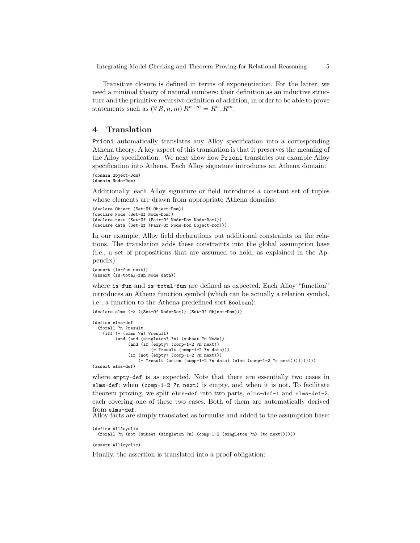Transitive closure is defined in terms of exponentiation. For the latter, we need a minimal theory of natural numbers: their definition as an inductive structure and the primitive recursive definition of addition, in order to be able to prove statements such as  $(\forall R, n, m) R^{n+m} = R^n \cdot R^m$ .

### 4 Translation

Prioni automatically translates any Alloy specification into a corresponding Athena theory. A key aspect of this translation is that it preserves the meaning of the Alloy specification. We next show how Prioni translates our example Alloy specification into Athena. Each Alloy signature introduces an Athena domain:

```
(domain Object-Dom)
(domain Node-Dom)
```
Additionally, each Alloy signature or field introduces a constant set of tuples whose elements are drawn from appropriate Athena domains:

```
(declare Object (Set-Of Object-Dom))
(declare Node (Set-Of Node-Dom))
(declare next (Set-Of (Pair-Of Node-Dom Node-Dom)))
(declare data (Set-Of (Pair-Of Node-Dom Object-Dom)))
```
In our example, Alloy field declarations put additional constraints on the relations. The translation adds these constraints into the global assumption base (i.e., a set of propositions that are assumed to hold, as explained in the Appendix):

```
(assert (is-fun next))
(assert (is-total-fun Node data))
```
where is-fun and is-total-fun are defined as expected. Each Alloy "function" introduces an Athena function symbol (which can be actually a relation symbol, i.e., a function to the Athena predefined sort Boolean):

(declare elms (-> ((Set-Of Node-Dom)) (Set-Of Object-Dom)))

```
(define elms-def
  (forall ?n ?result
    (iff (= (elms ?n) ?result)
         (and (and (singleton? ?n) (subset ?n Node))
              (and (if (empty? (comp-1-2 ?n next))
                       (= ?result (comp-1-2 ?n data)))
              (if (not (empty? (comp-1-2 ?n next)))
                  (= ?result (union (comp-1-2 ?n data) (elms (comp-1-2 ?n next))))))))))
(assert elms-def)
```
where empty-def is as expected. Note that there are essentially two cases in elms-def: when (comp-1-2 ?n next) is empty, and when it is not. To facilitate theorem proving, we split elms-def into two parts, elms-def-1 and elms-def-2, each covering one of these two cases. Both of them are automatically derived from elms-def.

Alloy facts are simply translated as formulas and added to the assumption base:

```
(define AllAcyclic
  (forall ?n (not (subset (singleton ?n) (comp-1-2 (singleton ?n) (tc next))))))
```
(assert AllAcyclic)

Finally, the assertion is translated into a proof obligation: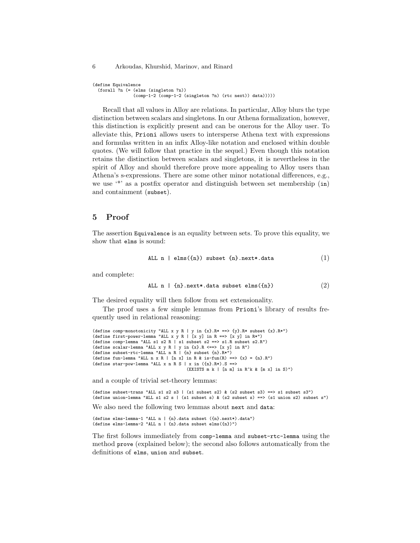(define Equivalence (forall ?n (= (elms (singleton ?n)) (comp-1-2 (comp-1-2 (singleton ?n) (rtc next)) data)))))

Recall that all values in Alloy are relations. In particular, Alloy blurs the type distinction between scalars and singletons. In our Athena formalization, however, this distinction is explicitly present and can be onerous for the Alloy user. To alleviate this, Prioni allows users to intersperse Athena text with expressions and formulas written in an infix Alloy-like notation and enclosed within double quotes. (We will follow that practice in the sequel.) Even though this notation retains the distinction between scalars and singletons, it is nevertheless in the spirit of Alloy and should therefore prove more appealing to Alloy users than Athena's s-expressions. There are some other minor notational differences, e.g., we use  $\cdot^*$  as a postfix operator and distinguish between set membership (in) and containment (subset).

### 5 Proof

The assertion Equivalence is an equality between sets. To prove this equality, we show that elms is sound:

$$
\verb+ALL n | elms(fn) subset {n}.next*.data \hspace{1.5cm} (1)
$$

and complete:

$$
\text{ALL } n \mid \{n\}.next*.\text{data subset elms}(\{n\})
$$
 (2)

The desired equality will then follow from set extensionality.

The proof uses a few simple lemmas from Prioni's library of results frequently used in relational reasoning:

```
(define comp-monotonicity "ALL x y R | y in {x}.R* ==> {y}.R* subset {x}.R*")
(define first-power-lemma "ALL x y R | [x y] in R ==> [x y] in R*")
(define comp-lemma "ALL s1 s2 R | s1 subset s2 ==> s1.R subset s2.R")
(define scalar-lemma "ALL x y R | y in {x}.R <==> [x y] in R")
(define subset-rtc-lemma "ALL n R | {n} subset {n}.R*")
(define fun-lemma "ALL n x R | [n x] in R & is-fun(R) ==> \{x\} = \{n\}.R")
(define star-pow-lemma "ALL x n R S | x in (\n_1).R*). S ==>
                                      (EXISTS m k | [n m] in R^k & [m x] in S)")
```
and a couple of trivial set-theory lemmas:

(define subset-trans "ALL s1 s2 s3 | (s1 subset s2)  $\&$  (s2 subset s3) ==> s1 subset s3") (define union-lemma "ALL s1 s2 s | (s1 subset s)  $k$  (s2 subset s) ==> (s1 union s2) subset s")

We also need the following two lemmas about next and data:

(define elms-lemma-1 "ALL n | {n}.data subset ({n}.next\*).data") (define elms-lemma-2 "ALL n |  $\{n\}$ .data subset elms $(\{n\})$ ")

The first follows immediately from comp-lemma and subset-rtc-lemma using the method prove (explained below); the second also follows automatically from the definitions of elms, union and subset.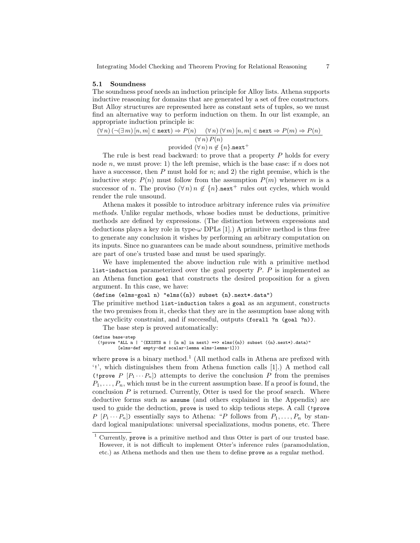Integrating Model Checking and Theorem Proving for Relational Reasoning 7

#### 5.1 Soundness

The soundness proof needs an induction principle for Alloy lists. Athena supports inductive reasoning for domains that are generated by a set of free constructors. But Alloy structures are represented here as constant sets of tuples, so we must find an alternative way to perform induction on them. In our list example, an appropriate induction principle is:

$$
\frac{(\forall n) (\neg(\exists m) [n, m] \in next) \Rightarrow P(n) \quad (\forall n) (\forall m) [n, m] \in next \Rightarrow P(m) \Rightarrow P(n)}{(\forall n) P(n)}
$$

provided  $(\forall n)$   $n \notin \{n\}$  next

The rule is best read backward: to prove that a property P holds for every node n, we must prove: 1) the left premise, which is the base case: if n does not have a successor, then  $P$  must hold for  $n$ ; and  $2)$  the right premise, which is the inductive step:  $P(n)$  must follow from the assumption  $P(m)$  whenever m is a successor of n. The proviso  $(\forall n)$   $n \notin \{n\}$  next<sup>+</sup> rules out cycles, which would render the rule unsound.

Athena makes it possible to introduce arbitrary inference rules via primitive methods. Unlike regular methods, whose bodies must be deductions, primitive methods are defined by expressions. (The distinction between expressions and deductions plays a key role in type- $\omega$  DPLs [1].) A primitive method is thus free to generate any conclusion it wishes by performing an arbitrary computation on its inputs. Since no guarantees can be made about soundness, primitive methods are part of one's trusted base and must be used sparingly.

We have implemented the above induction rule with a primitive method list-induction parameterized over the goal property  $P$ .  $P$  is implemented as an Athena function goal that constructs the desired proposition for a given argument. In this case, we have:

(define (elms-goal n) "elms({n}) subset {n}.next\*.data")

The primitive method list-induction takes a goal as an argument, constructs the two premises from it, checks that they are in the assumption base along with the acyclicity constraint, and if successful, outputs (forall ?n (goal ?n)).

The base step is proved automatically:

```
(define base-step
  (!prove "ALL n | ~(EXISTS m | [n m] in next) ==> elms({n}) subset ({n}.next*).data)"
          [elms-def empty-def scalar-lemma elms-lemma-1]))
```
where prove is a binary method.<sup>1</sup> (All method calls in Athena are prefixed with '!', which distinguishes them from Athena function calls [1].) A method call (!prove  $P [P_1 \cdots P_n]$ ) attempts to derive the conclusion P from the premises  $P_1, \ldots, P_n$ , which must be in the current assumption base. If a proof is found, the conclusion  $P$  is returned. Currently, Otter is used for the proof search. Where deductive forms such as assume (and others explained in the Appendix) are used to guide the deduction, prove is used to skip tedious steps. A call (!prove P  $[P_1 \cdots P_n]$  essentially says to Athena: "P follows from  $P_1, \ldots, P_n$  by standard logical manipulations: universal specializations, modus ponens, etc. There

<sup>&</sup>lt;sup>1</sup> Currently, prove is a primitive method and thus Otter is part of our trusted base. However, it is not difficult to implement Otter's inference rules (paramodulation, etc.) as Athena methods and then use them to define prove as a regular method.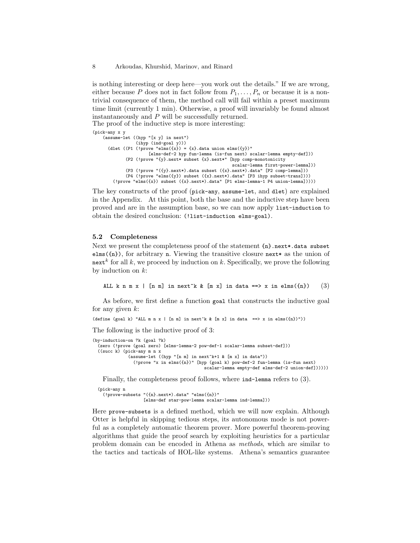is nothing interesting or deep here—you work out the details." If we are wrong, either because P does not in fact follow from  $P_1, \ldots, P_n$  or because it is a nontrivial consequence of them, the method call will fail within a preset maximum time limit (currently 1 min). Otherwise, a proof will invariably be found almost instantaneously and P will be successfully returned. The proof of the inductive step is more interesting:

(pick-any x y (assume-let ((hyp "[x y] in next") (ihyp (ind-goal y))) (dlet  $((P1 (!prove "elms({x})) = {x}.data union elms({y}))"$ [elms-def-2 hyp fun-lemma (is-fun next) scalar-lemma empty-def])) (P2 (!prove "{y}.next\* subset {x}.next\*" [hyp comp-monotonicity scalar-lemma first-power-lemma])) (P3 (!prove "({y}.next\*).data subset ({x}.next\*).data" [P2 comp-lemma]))  $(P4 (!prove "elms({y})) subset ({x}.next*).data" [P3 inyp subset-trans]))$ (!prove "elms({x}) subset ({x}.next\*).data" [P1 elms-lemma-1 P4 union-lemma]))))

The key constructs of the proof (pick-any, assume-let, and dlet) are explained in the Appendix. At this point, both the base and the inductive step have been proved and are in the assumption base, so we can now apply list-induction to obtain the desired conclusion: (!list-induction elms-goal).

#### 5.2 Completeness

Next we present the completeness proof of the statement  $\{n\}$ .next\*.data subset elms( $\{n\}$ ), for arbitrary n. Viewing the transitive closure next as the union of  $\texttt{next}^k$  for all k, we proceed by induction on k. Specifically, we prove the following by induction on  $k$ :

ALL k n m x | [n m] in next^k & [m x] in data ==> x in elms({n}) (3)

As before, we first define a function goal that constructs the inductive goal for any given  $k$ :

(define (goal k) "ALL m n x | [n m] in next^k & [m x] in data ==> x in elms({n})"))

The following is the inductive proof of 3:

```
(by-induction-on ?k (goal ?k)
  (zero (!prove (goal zero) [elms-lemma-2 pow-def-1 scalar-lemma subset-def]))
  ((succ k) (pick-any m n x
                (assume-let ((hyp "[n m] in next^k+1 & [m x] in data"))
                   (!prove "x in elms({n})" [hyp (goal k) pow-def-2 fun-lemma (is-fun next)
scalar-lemma empty-def elms-def-2 union-def])))))
```
Finally, the completeness proof follows, where ind-lemma refers to (3).

```
(pick-any n
  (!prove-subsets "({n}.next*).data" "elms({n})"
                  [elms-def star-pow-lemma scalar-lemma ind-lemma]))
```
Here prove-subsets is a defined method, which we will now explain. Although Otter is helpful in skipping tedious steps, its autonomous mode is not powerful as a completely automatic theorem prover. More powerful theorem-proving algorithms that guide the proof search by exploiting heuristics for a particular problem domain can be encoded in Athena as methods, which are similar to the tactics and tacticals of HOL-like systems. Athena's semantics guarantee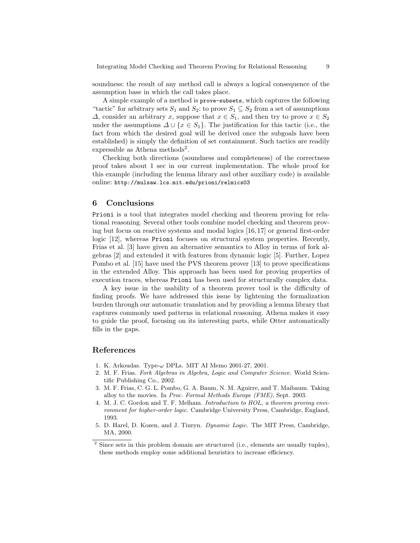soundness: the result of any method call is always a logical consequence of the assumption base in which the call takes place.

A simple example of a method is prove-subsets, which captures the following "tactic" for arbitrary sets  $S_1$  and  $S_2$ : to prove  $S_1 \subseteq S_2$  from a set of assumptions  $\Delta$ , consider an arbitrary x, suppose that  $x \in S_1$ , and then try to prove  $x \in S_2$ under the assumptions  $\Delta \cup \{x \in S_1\}$ . The justification for this tactic (i.e., the fact from which the desired goal will be derived once the subgoals have been established) is simply the definition of set containment. Such tactics are readily expressible as Athena methods<sup>2</sup>.

Checking both directions (soundness and completeness) of the correctness proof takes about 1 sec in our current implementation. The whole proof for this example (including the lemma library and other auxiliary code) is available online: http://mulsaw.lcs.mit.edu/prioni/relmics03

### 6 Conclusions

Prioni is a tool that integrates model checking and theorem proving for relational reasoning. Several other tools combine model checking and theorem proving but focus on reactive systems and modal logics [16, 17] or general first-order logic [12], whereas Prioni focuses on structural system properties. Recently, Frias et al. [3] have given an alternative semantics to Alloy in terms of fork algebras [2] and extended it with features from dynamic logic [5]. Further, Lopez Pombo et al. [15] have used the PVS theorem prover [13] to prove specifications in the extended Alloy. This approach has been used for proving properties of execution traces, whereas Prioni has been used for structurally complex data.

A key issue in the usability of a theorem prover tool is the difficulty of finding proofs. We have addressed this issue by lightening the formalization burden through our automatic translation and by providing a lemma library that captures commonly used patterns in relational reasoning. Athena makes it easy to guide the proof, focusing on its interesting parts, while Otter automatically fills in the gaps.

# References

- 1. K. Arkoudas. Type-ω DPLs. MIT AI Memo 2001-27, 2001.
- 2. M. F. Frias. Fork Algebras in Algebra, Logic and Computer Science. World Scientific Publishing Co., 2002.
- 3. M. F. Frias, C. G. L. Pombo, G. A. Baum, N. M. Aguirre, and T. Maibaum. Taking alloy to the movies. In Proc. Formal Methods Europe (FME), Sept. 2003.
- 4. M. J. C. Gordon and T. F. Melham. Introduction to HOL, a theorem proving environment for higher-order logic. Cambridge University Press, Cambridge, England, 1993.
- 5. D. Harel, D. Kozen, and J. Tiuryn. Dynamic Logic. The MIT Press, Cambridge, MA, 2000.

 $2$  Since sets in this problem domain are structured (i.e., elements are usually tuples), these methods employ some additional heuristics to increase efficiency.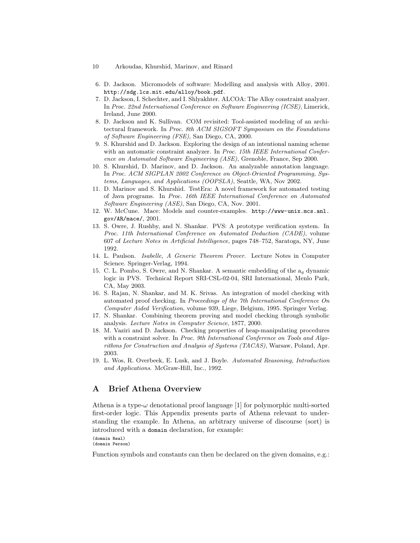- 6. D. Jackson. Micromodels of software: Modelling and analysis with Alloy, 2001. http://sdg.lcs.mit.edu/alloy/book.pdf.
- 7. D. Jackson, I. Schechter, and I. Shlyakhter. ALCOA: The Alloy constraint analyzer. In Proc. 22nd International Conference on Software Engineering (ICSE), Limerick, Ireland, June 2000.
- 8. D. Jackson and K. Sullivan. COM revisited: Tool-assisted modeling of an architectural framework. In Proc. 8th ACM SIGSOFT Symposium on the Foundations of Software Engineering (FSE), San Diego, CA, 2000.
- 9. S. Khurshid and D. Jackson. Exploring the design of an intentional naming scheme with an automatic constraint analyzer. In Proc. 15th IEEE International Conference on Automated Software Engineering (ASE), Grenoble, France, Sep 2000.
- 10. S. Khurshid, D. Marinov, and D. Jackson. An analyzable annotation language. In Proc. ACM SIGPLAN 2002 Conference on Object-Oriented Programming, Systems, Languages, and Applications (OOPSLA), Seattle, WA, Nov 2002.
- 11. D. Marinov and S. Khurshid. TestEra: A novel framework for automated testing of Java programs. In Proc. 16th IEEE International Conference on Automated Software Engineering (ASE), San Diego, CA, Nov. 2001.
- 12. W. McCune. Mace: Models and counter-examples. http://www-unix.mcs.anl. gov/AR/mace/, 2001.
- 13. S. Owre, J. Rushby, and N. Shankar. PVS: A prototype verification system. In Proc. 11th International Conference on Automated Deduction (CADE), volume 607 of Lecture Notes in Artificial Intelligence, pages 748–752, Saratoga, NY, June 1992.
- 14. L. Paulson. Isabelle, A Generic Theorem Prover. Lecture Notes in Computer Science. Springer-Verlag, 1994.
- 15. C. L. Pombo, S. Owre, and N. Shankar. A semantic embedding of the  $a<sub>g</sub>$  dynamic logic in PVS. Technical Report SRI-CSL-02-04, SRI International, Menlo Park, CA, May 2003.
- 16. S. Rajan, N. Shankar, and M. K. Srivas. An integration of model checking with automated proof checking. In Proceedings of the 7th International Conference On Computer Aided Verification, volume 939, Liege, Belgium, 1995. Springer Verlag.
- 17. N. Shankar. Combining theorem proving and model checking through symbolic analysis. Lecture Notes in Computer Science, 1877, 2000.
- 18. M. Vaziri and D. Jackson. Checking properties of heap-manipulating procedures with a constraint solver. In Proc. 9th International Conference on Tools and Algorithms for Construction and Analysis of Systems (TACAS), Warsaw, Poland, Apr. 2003.
- 19. L. Wos, R. Overbeek, E. Lusk, and J. Boyle. Automated Reasoning, Introduction and Applications. McGraw-Hill, Inc., 1992.

# A Brief Athena Overview

Athena is a type- $\omega$  denotational proof language [1] for polymorphic multi-sorted first-order logic. This Appendix presents parts of Athena relevant to understanding the example. In Athena, an arbitrary universe of discourse (sort) is introduced with a domain declaration, for example:

(domain Real)

(domain Person)

Function symbols and constants can then be declared on the given domains, e.g.: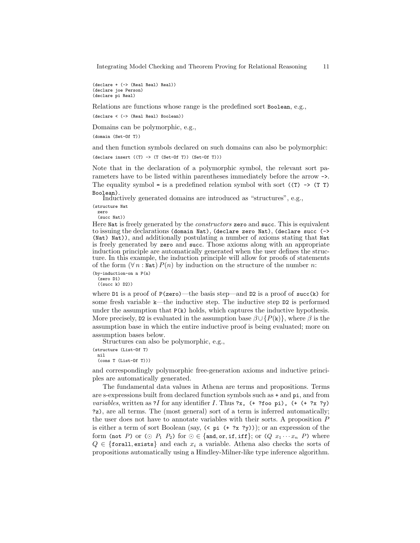Integrating Model Checking and Theorem Proving for Relational Reasoning 11

(declare + (-> (Real Real) Real)) (declare joe Person) (declare pi Real)

Relations are functions whose range is the predefined sort Boolean, e.g.,

(declare < (-> (Real Real) Boolean))

Domains can be polymorphic, e.g.,

(domain (Set-Of T))

and then function symbols declared on such domains can also be polymorphic:

 $(detare insert ((T) \rightarrow (T (Set-0f T)) (Set-0f T)))$ 

Note that in the declaration of a polymorphic symbol, the relevant sort parameters have to be listed within parentheses immediately before the arrow ->. The equality symbol = is a predefined relation symbol with sort  $($ T $)$  ->  $($ T $)$ Boolean).

Inductively generated domains are introduced as "structures", e.g.,

(structure Nat

zero (succ Nat))

Here Nat is freely generated by the *constructors* zero and succ. This is equivalent to issuing the declarations (domain Nat), (declare zero Nat), (declare succ (-> (Nat) Nat)), and additionally postulating a number of axioms stating that Nat is freely generated by zero and succ. Those axioms along with an appropriate induction principle are automatically generated when the user defines the structure. In this example, the induction principle will allow for proofs of statements of the form  $(\forall n : \text{Nat}) P(n)$  by induction on the structure of the number n:

(by-induction-on n P(n)

(zero D1) ((succ k) D2))

where D1 is a proof of P(zero)—the basis step—and D2 is a proof of succ(k) for some fresh variable k—the inductive step. The inductive step D2 is performed under the assumption that  $P(k)$  holds, which captures the inductive hypothesis. More precisely, D2 is evaluated in the assumption base  $\beta \cup \{P(k)\}\,$ , where  $\beta$  is the assumption base in which the entire inductive proof is being evaluated; more on assumption bases below.

Structures can also be polymorphic, e.g., (structure (List-Of T) nil

(cons T (List-Of T)))

and correspondingly polymorphic free-generation axioms and inductive principles are automatically generated.

The fundamental data values in Athena are terms and propositions. Terms are s-expressions built from declared function symbols such as + and pi, and from variables, written as ?I for any identifier I. Thus ?x,  $(+)$  ?foo pi),  $(+)$   $(+)$  ?x ?y) ?z), are all terms. The (most general) sort of a term is inferred automatically; the user does not have to annotate variables with their sorts. A proposition P is either a term of sort Boolean (say,  $(\langle p_i \rightarrow \gamma x, \gamma y \rangle)$ ; or an expression of the form (not P) or  $\circledcirc$  P<sub>1</sub> P<sub>2</sub>) for  $\circledcirc$   $\in$  {and, or, if, iff}; or  $(Q x_1 \cdots x_n P)$  where  $Q \in \{\text{for all}, \text{exists}\}\$ and each  $x_i$  a variable. Athena also checks the sorts of propositions automatically using a Hindley-Milner-like type inference algorithm.